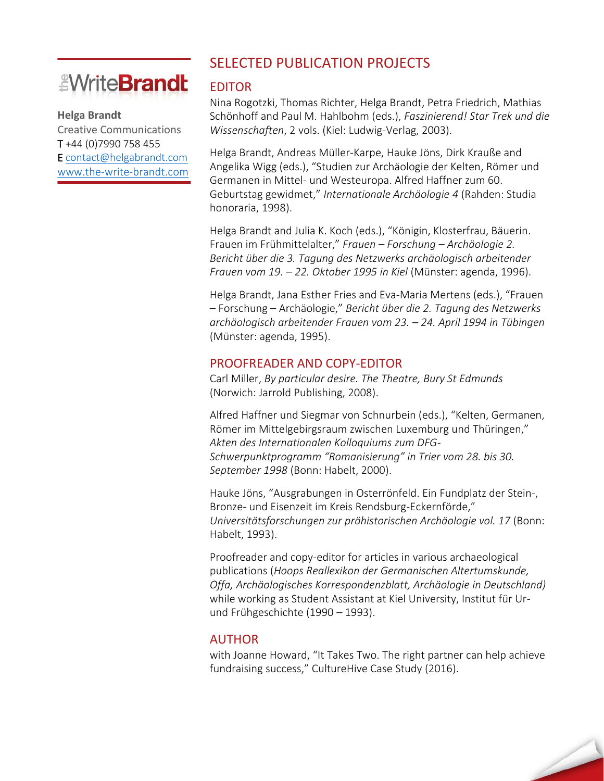# *<u><i><u>EWriteBrandt</u>*</u>

#### **Helga Brandt**

Creative Communications T +44 (0)7990 758 455 E [contact@helgabrandt.com](mailto:contact@helgabrandt.com) [www.the-write-brandt.com](http://www.the-write-brandt.com/)

### SELECTED PUBLICATION PROJECTS

#### EDITOR

Nina Rogotzki, Thomas Richter, Helga Brandt, Petra Friedrich, Mathias Schönhoff and Paul M. Hahlbohm (eds.), *Faszinierend! Star Trek und die Wissenschaften*, 2 vols. (Kiel: Ludwig-Verlag, 2003).

Helga Brandt, Andreas Müller-Karpe, Hauke Jöns, Dirk Krauße and Angelika Wigg (eds.), "Studien zur Archäologie der Kelten, Römer und Germanen in Mittel- und Westeuropa. Alfred Haffner zum 60. Geburtstag gewidmet," *Internationale Archäologie 4* (Rahden: Studia honoraria, 1998).

Helga Brandt and Julia K. Koch (eds.), "Königin, Klosterfrau, Bäuerin. Frauen im Frühmittelalter," *Frauen – Forschung – Archäologie 2. Bericht über die 3. Tagung des Netzwerks archäologisch arbeitender Frauen vom 19. – 22. Oktober 1995 in Kiel* (Münster: agenda, 1996).

Helga Brandt, Jana Esther Fries and Eva-Maria Mertens (eds.), "Frauen – Forschung – Archäologie," *Bericht über die 2. Tagung des Netzwerks archäologisch arbeitender Frauen vom 23. – 24. April 1994 in Tübingen* (Münster: agenda, 1995).

#### PROOFREADER AND COPY-EDITOR

Carl Miller, *By particular desire. The Theatre, Bury St Edmunds* (Norwich: Jarrold Publishing, 2008).

Alfred Haffner und Siegmar von Schnurbein (eds.), "Kelten, Germanen, Römer im Mittelgebirgsraum zwischen Luxemburg und Thüringen," *Akten des Internationalen Kolloquiums zum DFG-Schwerpunktprogramm "Romanisierung" in Trier vom 28. bis 30. September 1998* (Bonn: Habelt, 2000).

Hauke Jöns, "Ausgrabungen in Osterrönfeld. Ein Fundplatz der Stein-, Bronze- und Eisenzeit im Kreis Rendsburg-Eckernförde," *Universitätsforschungen zur prähistorischen Archäologie vol. 17* (Bonn: Habelt, 1993).

Proofreader and copy-editor for articles in various archaeological publications (*Hoops Reallexikon der Germanischen Altertumskunde, Offa, Archäologisches Korrespondenzblatt, Archäologie in Deutschland)* while working as Student Assistant at Kiel University, Institut für Urund Frühgeschichte (1990 *–* 1993).

### AUTHOR

with Joanne Howard, "It Takes Two. The right partner can help achieve fundraising success," CultureHive Case Study (2016).

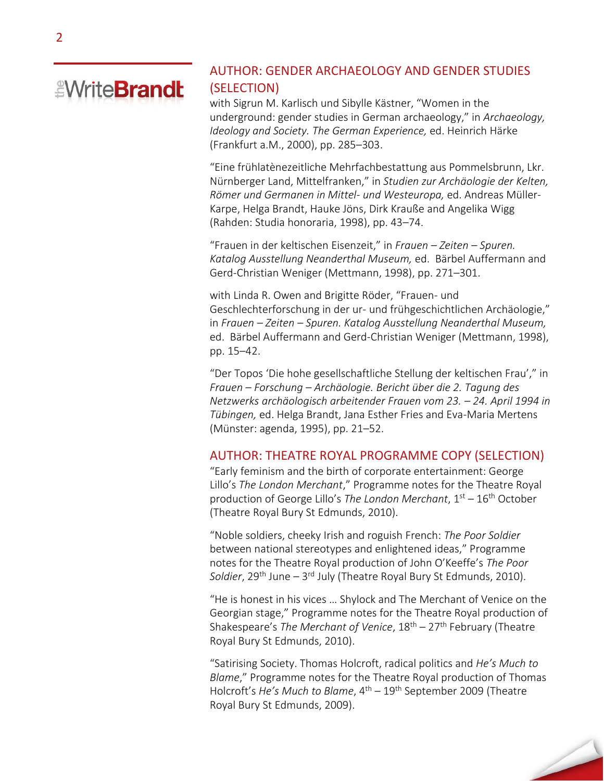## *<u><i><u>EWriteBrandt</u>*</u>

### AUTHOR: GENDER ARCHAEOLOGY AND GENDER STUDIES (SELECTION)

with Sigrun M. Karlisch und Sibylle Kästner, "Women in the underground: gender studies in German archaeology," in *Archaeology, Ideology and Society. The German Experience,* ed. Heinrich Härke (Frankfurt a.M., 2000), pp. 285–303.

"Eine frühlatènezeitliche Mehrfachbestattung aus Pommelsbrunn, Lkr. Nürnberger Land, Mittelfranken," in *Studien zur Archäologie der Kelten, Römer und Germanen in Mittel- und Westeuropa,* ed. Andreas Müller-Karpe, Helga Brandt, Hauke Jöns, Dirk Krauße and Angelika Wigg (Rahden: Studia honoraria, 1998), pp. 43–74.

"Frauen in der keltischen Eisenzeit," in *Frauen – Zeiten – Spuren. Katalog Ausstellung Neanderthal Museum,* ed. Bärbel Auffermann and Gerd-Christian Weniger (Mettmann, 1998), pp. 271–301.

with Linda R. Owen and Brigitte Röder, "Frauen- und Geschlechterforschung in der ur- und frühgeschichtlichen Archäologie," in *Frauen – Zeiten – Spuren. Katalog Ausstellung Neanderthal Museum,*  ed. Bärbel Auffermann and Gerd-Christian Weniger (Mettmann, 1998), pp. 15–42.

"Der Topos 'Die hohe gesellschaftliche Stellung der keltischen Frau'," in *Frauen – Forschung – Archäologie. Bericht über die 2. Tagung des Netzwerks archäologisch arbeitender Frauen vom 23. – 24. April 1994 in Tübingen,* ed. Helga Brandt, Jana Esther Fries and Eva-Maria Mertens (Münster: agenda, 1995), pp. 21–52.

#### AUTHOR: THEATRE ROYAL PROGRAMME COPY (SELECTION)

"Early feminism and the birth of corporate entertainment: George Lillo's *The London Merchant*," Programme notes for the Theatre Royal production of George Lillo's *The London Merchant*, 1st – 16th October (Theatre Royal Bury St Edmunds, 2010).

"Noble soldiers, cheeky Irish and roguish French: *The Poor Soldier* between national stereotypes and enlightened ideas," Programme notes for the Theatre Royal production of John O'Keeffe's *The Poor*  Soldier, 29<sup>th</sup> June — 3<sup>rd</sup> July (Theatre Royal Bury St Edmunds, 2010).

"He is honest in his vices … Shylock and The Merchant of Venice on the Georgian stage," Programme notes for the Theatre Royal production of Shakespeare's *The Merchant of Venice*, 18th – 27th February (Theatre Royal Bury St Edmunds, 2010).

"Satirising Society. Thomas Holcroft, radical politics and *He's Much to Blame*," Programme notes for the Theatre Royal production of Thomas Holcroft's *He's Much to Blame*, 4th – 19th September 2009 (Theatre Royal Bury St Edmunds, 2009).